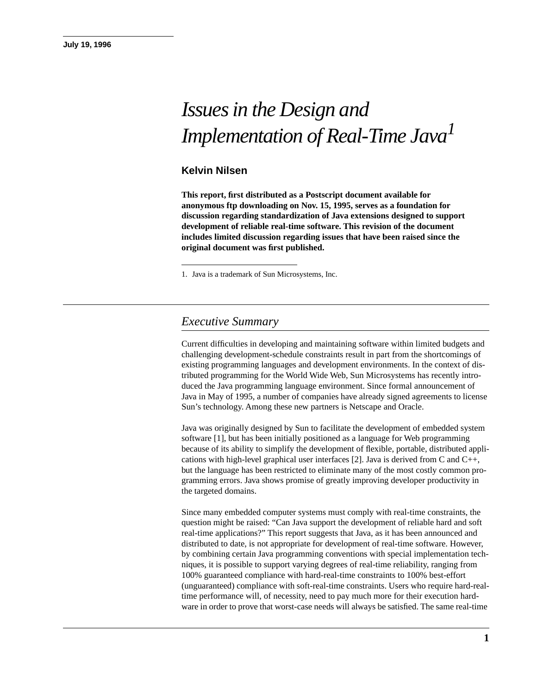# *Issues in the Design and Implementation of Real-Time Java1*

#### **Kelvin Nilsen**

**This report, first distributed as a Postscript document available for anonymous ftp downloading on Nov. 15, 1995, serves as a foundation for discussion regarding standardization of Java extensions designed to support development of reliable real-time software. This revision of the document includes limited discussion regarding issues that have been raised since the original document was first published.**

1. Java is a trademark of Sun Microsystems, Inc.

### *Executive Summary*

Current difficulties in developing and maintaining software within limited budgets and challenging development-schedule constraints result in part from the shortcomings of existing programming languages and development environments. In the context of distributed programming for the World Wide Web, Sun Microsystems has recently introduced the Java programming language environment. Since formal announcement of Java in May of 1995, a number of companies have already signed agreements to license Sun's technology. Among these new partners is Netscape and Oracle.

Java was originally designed by Sun to facilitate the development of embedded system software [1], but has been initially positioned as a language for Web programming because of its ability to simplify the development of flexible, portable, distributed applications with high-level graphical user interfaces [2]. Java is derived from C and  $C_{++}$ , but the language has been restricted to eliminate many of the most costly common programming errors. Java shows promise of greatly improving developer productivity in the targeted domains.

Since many embedded computer systems must comply with real-time constraints, the question might be raised: "Can Java support the development of reliable hard and soft real-time applications?" This report suggests that Java, as it has been announced and distributed to date, is not appropriate for development of real-time software. However, by combining certain Java programming conventions with special implementation techniques, it is possible to support varying degrees of real-time reliability, ranging from 100% guaranteed compliance with hard-real-time constraints to 100% best-effort (unguaranteed) compliance with soft-real-time constraints. Users who require hard-realtime performance will, of necessity, need to pay much more for their execution hardware in order to prove that worst-case needs will always be satisfied. The same real-time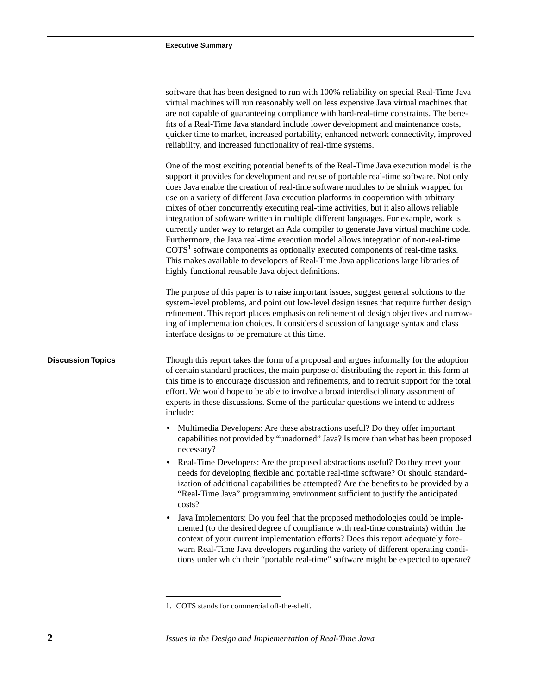|                          | software that has been designed to run with 100% reliability on special Real-Time Java<br>virtual machines will run reasonably well on less expensive Java virtual machines that<br>are not capable of guaranteeing compliance with hard-real-time constraints. The bene-<br>fits of a Real-Time Java standard include lower development and maintenance costs,<br>quicker time to market, increased portability, enhanced network connectivity, improved<br>reliability, and increased functionality of real-time systems.                                                                                                                                                                                                                                                                                                                                                                                                                                                 |
|--------------------------|-----------------------------------------------------------------------------------------------------------------------------------------------------------------------------------------------------------------------------------------------------------------------------------------------------------------------------------------------------------------------------------------------------------------------------------------------------------------------------------------------------------------------------------------------------------------------------------------------------------------------------------------------------------------------------------------------------------------------------------------------------------------------------------------------------------------------------------------------------------------------------------------------------------------------------------------------------------------------------|
|                          | One of the most exciting potential benefits of the Real-Time Java execution model is the<br>support it provides for development and reuse of portable real-time software. Not only<br>does Java enable the creation of real-time software modules to be shrink wrapped for<br>use on a variety of different Java execution platforms in cooperation with arbitrary<br>mixes of other concurrently executing real-time activities, but it also allows reliable<br>integration of software written in multiple different languages. For example, work is<br>currently under way to retarget an Ada compiler to generate Java virtual machine code.<br>Furthermore, the Java real-time execution model allows integration of non-real-time<br>$COTS1$ software components as optionally executed components of real-time tasks.<br>This makes available to developers of Real-Time Java applications large libraries of<br>highly functional reusable Java object definitions. |
|                          | The purpose of this paper is to raise important issues, suggest general solutions to the<br>system-level problems, and point out low-level design issues that require further design<br>refinement. This report places emphasis on refinement of design objectives and narrow-<br>ing of implementation choices. It considers discussion of language syntax and class<br>interface designs to be premature at this time.                                                                                                                                                                                                                                                                                                                                                                                                                                                                                                                                                    |
| <b>Discussion Topics</b> | Though this report takes the form of a proposal and argues informally for the adoption<br>of certain standard practices, the main purpose of distributing the report in this form at<br>this time is to encourage discussion and refinements, and to recruit support for the total<br>effort. We would hope to be able to involve a broad interdisciplinary assortment of<br>experts in these discussions. Some of the particular questions we intend to address<br>include:                                                                                                                                                                                                                                                                                                                                                                                                                                                                                                |
|                          | • Multimedia Developers: Are these abstractions useful? Do they offer important<br>capabilities not provided by "unadorned" Java? Is more than what has been proposed<br>necessary?                                                                                                                                                                                                                                                                                                                                                                                                                                                                                                                                                                                                                                                                                                                                                                                         |
|                          | Real-Time Developers: Are the proposed abstractions useful? Do they meet your<br>needs for developing flexible and portable real-time software? Or should standard-<br>ization of additional capabilities be attempted? Are the benefits to be provided by a<br>"Real-Time Java" programming environment sufficient to justify the anticipated<br>costs?                                                                                                                                                                                                                                                                                                                                                                                                                                                                                                                                                                                                                    |
|                          | Java Implementors: Do you feel that the proposed methodologies could be imple-<br>mented (to the desired degree of compliance with real-time constraints) within the<br>context of your current implementation efforts? Does this report adequately fore-<br>warn Real-Time Java developers regarding the variety of different operating condi-<br>tions under which their "portable real-time" software might be expected to operate?                                                                                                                                                                                                                                                                                                                                                                                                                                                                                                                                      |
|                          |                                                                                                                                                                                                                                                                                                                                                                                                                                                                                                                                                                                                                                                                                                                                                                                                                                                                                                                                                                             |

1. COTS stands for commercial off-the-shelf.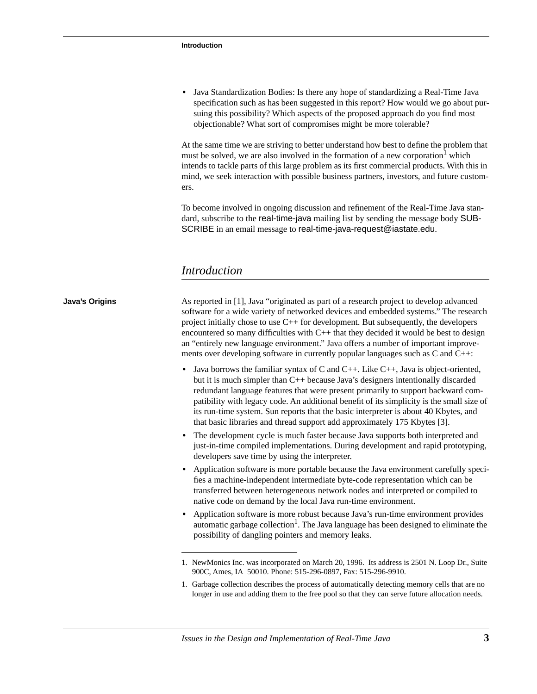**•** Java Standardization Bodies: Is there any hope of standardizing a Real-Time Java specification such as has been suggested in this report? How would we go about pursuing this possibility? Which aspects of the proposed approach do you find most objectionable? What sort of compromises might be more tolerable?

At the same time we are striving to better understand how best to define the problem that must be solved, we are also involved in the formation of a new corporation<sup>1</sup> which intends to tackle parts of this large problem as its first commercial products. With this in mind, we seek interaction with possible business partners, investors, and future customers.

To become involved in ongoing discussion and refinement of the Real-Time Java standard, subscribe to the real-time-java mailing list by sending the message body SUB-SCRIBE in an email message to real-time-java-request@iastate.edu.

#### *Introduction*

### 1. NewMonics Inc. was incorporated on March 20, 1996. Its address is 2501 N. Loop Dr., Suite 900C, Ames, IA 50010. Phone: 515-296-0897, Fax: 515-296-9910. **Java's Origins** As reported in [1], Java "originated as part of a research project to develop advanced software for a wide variety of networked devices and embedded systems." The research project initially chose to use C++ for development. But subsequently, the developers encountered so many difficulties with C++ that they decided it would be best to design an "entirely new language environment." Java offers a number of important improvements over developing software in currently popular languages such as C and C++: **•** Java borrows the familiar syntax of C and C++. Like C++, Java is object-oriented, but it is much simpler than C++ because Java's designers intentionally discarded redundant language features that were present primarily to support backward compatibility with legacy code. An additional benefit of its simplicity is the small size of its run-time system. Sun reports that the basic interpreter is about 40 Kbytes, and that basic libraries and thread support add approximately 175 Kbytes [3]. **•** The development cycle is much faster because Java supports both interpreted and just-in-time compiled implementations. During development and rapid prototyping, developers save time by using the interpreter. • Application software is more portable because the Java environment carefully specifies a machine-independent intermediate byte-code representation which can be transferred between heterogeneous network nodes and interpreted or compiled to native code on demand by the local Java run-time environment. **•** Application software is more robust because Java's run-time environment provides  $\alpha$ utomatic garbage collection<sup>1</sup>. The Java language has been designed to eliminate the possibility of dangling pointers and memory leaks.

1. Garbage collection describes the process of automatically detecting memory cells that are no longer in use and adding them to the free pool so that they can serve future allocation needs.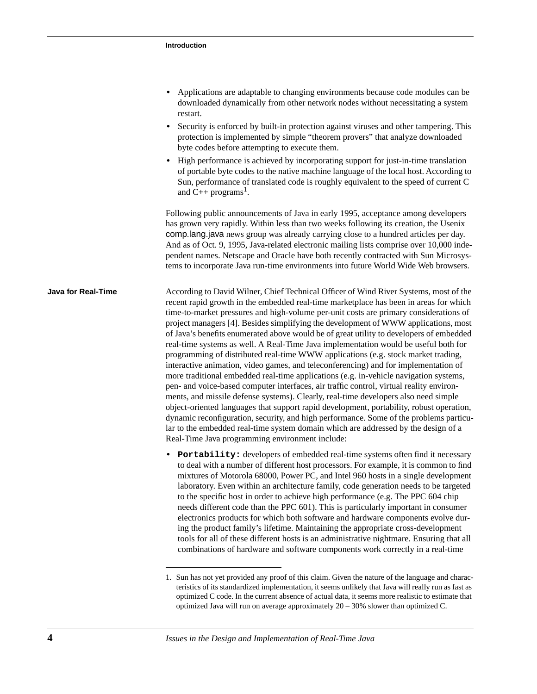| • Applications are adaptable to changing environments because code modules can be |
|-----------------------------------------------------------------------------------|
| downloaded dynamically from other network nodes without necessitating a system    |
| restart.                                                                          |

- Security is enforced by built-in protection against viruses and other tampering. This protection is implemented by simple "theorem provers" that analyze downloaded byte codes before attempting to execute them.
- High performance is achieved by incorporating support for just-in-time translation of portable byte codes to the native machine language of the local host. According to Sun, performance of translated code is roughly equivalent to the speed of current C and  $\dot{C}_{++}$  programs<sup>1</sup>.

Following public announcements of Java in early 1995, acceptance among developers has grown very rapidly. Within less than two weeks following its creation, the Usenix comp.lang.java news group was already carrying close to a hundred articles per day. And as of Oct. 9, 1995, Java-related electronic mailing lists comprise over 10,000 independent names. Netscape and Oracle have both recently contracted with Sun Microsystems to incorporate Java run-time environments into future World Wide Web browsers.

**Java for Real-Time** According to David Wilner, Chief Technical Officer of Wind River Systems, most of the recent rapid growth in the embedded real-time marketplace has been in areas for which time-to-market pressures and high-volume per-unit costs are primary considerations of project managers [4]. Besides simplifying the development of WWW applications, most of Java's benefits enumerated above would be of great utility to developers of embedded real-time systems as well. A Real-Time Java implementation would be useful both for programming of distributed real-time WWW applications (e.g. stock market trading, interactive animation, video games, and teleconferencing) and for implementation of more traditional embedded real-time applications (e.g. in-vehicle navigation systems, pen- and voice-based computer interfaces, air traffic control, virtual reality environments, and missile defense systems). Clearly, real-time developers also need simple object-oriented languages that support rapid development, portability, robust operation, dynamic reconfiguration, security, and high performance. Some of the problems particular to the embedded real-time system domain which are addressed by the design of a Real-Time Java programming environment include:

> **• Portability:** developers of embedded real-time systems often find it necessary to deal with a number of different host processors. For example, it is common to find mixtures of Motorola 68000, Power PC, and Intel 960 hosts in a single development laboratory. Even within an architecture family, code generation needs to be targeted to the specific host in order to achieve high performance (e.g. The PPC 604 chip needs different code than the PPC 601). This is particularly important in consumer electronics products for which both software and hardware components evolve during the product family's lifetime. Maintaining the appropriate cross-development tools for all of these different hosts is an administrative nightmare. Ensuring that all combinations of hardware and software components work correctly in a real-time

<sup>1.</sup> Sun has not yet provided any proof of this claim. Given the nature of the language and characteristics of its standardized implementation, it seems unlikely that Java will really run as fast as optimized C code. In the current absence of actual data, it seems more realistic to estimate that optimized Java will run on average approximately 20 – 30% slower than optimized C.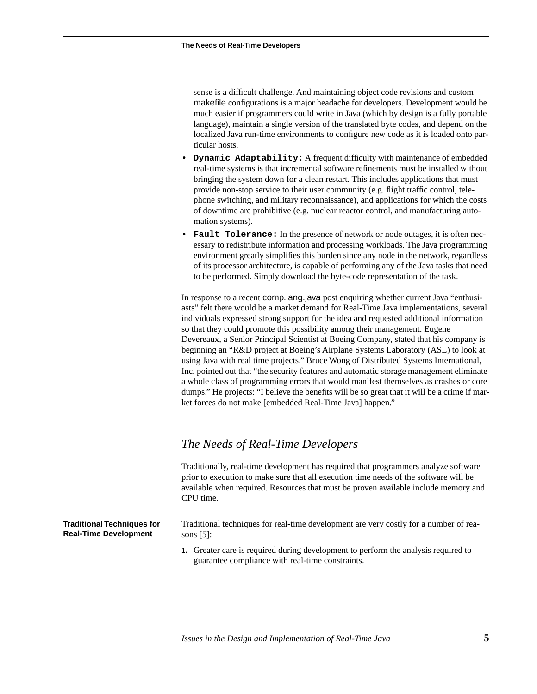sense is a difficult challenge. And maintaining object code revisions and custom makefile configurations is a major headache for developers. Development would be much easier if programmers could write in Java (which by design is a fully portable language), maintain a single version of the translated byte codes, and depend on the localized Java run-time environments to configure new code as it is loaded onto particular hosts.

- **Dynamic Adaptability:** A frequent difficulty with maintenance of embedded real-time systems is that incremental software refinements must be installed without bringing the system down for a clean restart. This includes applications that must provide non-stop service to their user community (e.g. flight traffic control, telephone switching, and military reconnaissance), and applications for which the costs of downtime are prohibitive (e.g. nuclear reactor control, and manufacturing automation systems).
- **Fault Tolerance:** In the presence of network or node outages, it is often necessary to redistribute information and processing workloads. The Java programming environment greatly simplifies this burden since any node in the network, regardless of its processor architecture, is capable of performing any of the Java tasks that need to be performed. Simply download the byte-code representation of the task.

In response to a recent comp.lang.java post enquiring whether current Java "enthusiasts" felt there would be a market demand for Real-Time Java implementations, several individuals expressed strong support for the idea and requested additional information so that they could promote this possibility among their management. Eugene Devereaux, a Senior Principal Scientist at Boeing Company, stated that his company is beginning an "R&D project at Boeing's Airplane Systems Laboratory (ASL) to look at using Java with real time projects." Bruce Wong of Distributed Systems International, Inc. pointed out that "the security features and automatic storage management eliminate a whole class of programming errors that would manifest themselves as crashes or core dumps." He projects: "I believe the benefits will be so great that it will be a crime if market forces do not make [embedded Real-Time Java] happen."

# *The Needs of Real-Time Developers*

Traditionally, real-time development has required that programmers analyze software prior to execution to make sure that all execution time needs of the software will be available when required. Resources that must be proven available include memory and CPU time.

**Traditional Techniques for Real-Time Development**

Traditional techniques for real-time development are very costly for a number of reasons [5]:

**1.** Greater care is required during development to perform the analysis required to guarantee compliance with real-time constraints.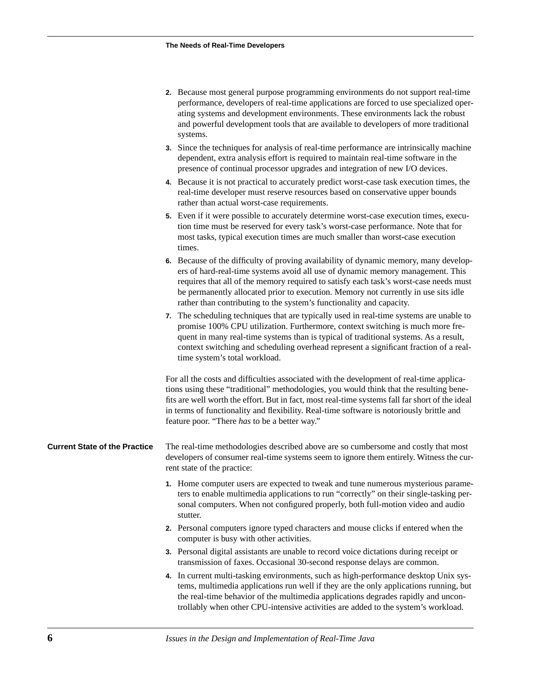| 2. Because most general purpose programming environments do not support real-time     |
|---------------------------------------------------------------------------------------|
| performance, developers of real-time applications are forced to use specialized oper- |
| ating systems and development environments. These environments lack the robust        |
| and powerful development tools that are available to developers of more traditional   |
| systems.                                                                              |

**3.** Since the techniques for analysis of real-time performance are intrinsically machine dependent, extra analysis effort is required to maintain real-time software in the presence of continual processor upgrades and integration of new I/O devices.

**4.** Because it is not practical to accurately predict worst-case task execution times, the real-time developer must reserve resources based on conservative upper bounds rather than actual worst-case requirements.

**5.** Even if it were possible to accurately determine worst-case execution times, execution time must be reserved for every task's worst-case performance. Note that for most tasks, typical execution times are much smaller than worst-case execution times.

**6.** Because of the difficulty of proving availability of dynamic memory, many developers of hard-real-time systems avoid all use of dynamic memory management. This requires that all of the memory required to satisfy each task's worst-case needs must be permanently allocated prior to execution. Memory not currently in use sits idle rather than contributing to the system's functionality and capacity.

**7.** The scheduling techniques that are typically used in real-time systems are unable to promise 100% CPU utilization. Furthermore, context switching is much more frequent in many real-time systems than is typical of traditional systems. As a result, context switching and scheduling overhead represent a significant fraction of a realtime system's total workload.

For all the costs and difficulties associated with the development of real-time applications using these "traditional" methodologies, you would think that the resulting benefits are well worth the effort. But in fact, most real-time systems fall far short of the ideal in terms of functionality and flexibility. Real-time software is notoriously brittle and feature poor. "There *has* to be a better way."

**Current State of the Practice** The real-time methodologies described above are so cumbersome and costly that most developers of consumer real-time systems seem to ignore them entirely. Witness the current state of the practice:

- **1.** Home computer users are expected to tweak and tune numerous mysterious parameters to enable multimedia applications to run "correctly" on their single-tasking personal computers. When not configured properly, both full-motion video and audio stutter.
- **2.** Personal computers ignore typed characters and mouse clicks if entered when the computer is busy with other activities.
- **3.** Personal digital assistants are unable to record voice dictations during receipt or transmission of faxes. Occasional 30-second response delays are common.
- **4.** In current multi-tasking environments, such as high-performance desktop Unix systems, multimedia applications run well if they are the only applications running, but the real-time behavior of the multimedia applications degrades rapidly and uncontrollably when other CPU-intensive activities are added to the system's workload.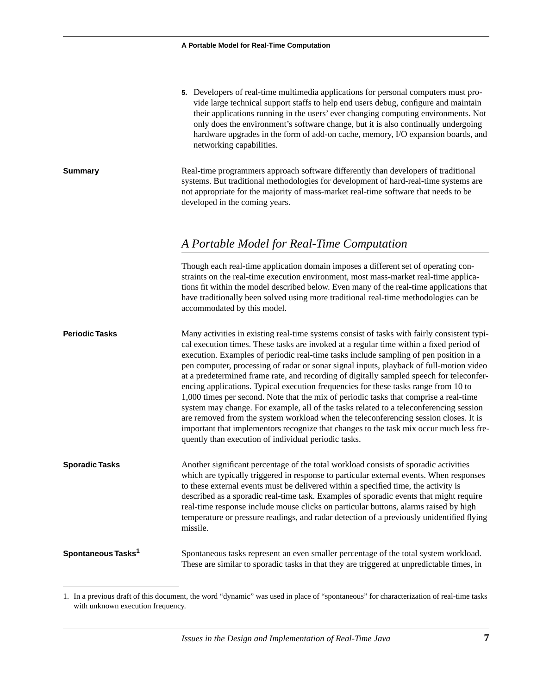| 5. Developers of real-time multimedia applications for personal computers must pro- |  |
|-------------------------------------------------------------------------------------|--|
| vide large technical support staffs to help end users debug, configure and maintain |  |
| their applications running in the users' ever changing computing environments. Not  |  |
| only does the environment's software change, but it is also continually undergoing  |  |
| hardware upgrades in the form of add-on cache, memory, I/O expansion boards, and    |  |
| networking capabilities.                                                            |  |

**Summary** Real-time programmers approach software differently than developers of traditional systems. But traditional methodologies for development of hard-real-time systems are not appropriate for the majority of mass-market real-time software that needs to be developed in the coming years.

# *A Portable Model for Real-Time Computation*

Though each real-time application domain imposes a different set of operating constraints on the real-time execution environment, most mass-market real-time applications fit within the model described below. Even many of the real-time applications that have traditionally been solved using more traditional real-time methodologies can be accommodated by this model.

**Periodic Tasks** Many activities in existing real-time systems consist of tasks with fairly consistent typical execution times. These tasks are invoked at a regular time within a fixed period of execution. Examples of periodic real-time tasks include sampling of pen position in a pen computer, processing of radar or sonar signal inputs, playback of full-motion video at a predetermined frame rate, and recording of digitally sampled speech for teleconferencing applications. Typical execution frequencies for these tasks range from 10 to 1,000 times per second. Note that the mix of periodic tasks that comprise a real-time system may change. For example, all of the tasks related to a teleconferencing session are removed from the system workload when the teleconferencing session closes. It is important that implementors recognize that changes to the task mix occur much less frequently than execution of individual periodic tasks.

**Sporadic Tasks** Another significant percentage of the total workload consists of sporadic activities which are typically triggered in response to particular external events. When responses to these external events must be delivered within a specified time, the activity is described as a sporadic real-time task. Examples of sporadic events that might require real-time response include mouse clicks on particular buttons, alarms raised by high temperature or pressure readings, and radar detection of a previously unidentified flying missile.

#### **Spontaneous Tasks1** Spontaneous tasks represent an even smaller percentage of the total system workload. These are similar to sporadic tasks in that they are triggered at unpredictable times, in

<sup>1.</sup> In a previous draft of this document, the word "dynamic" was used in place of "spontaneous" for characterization of real-time tasks with unknown execution frequency.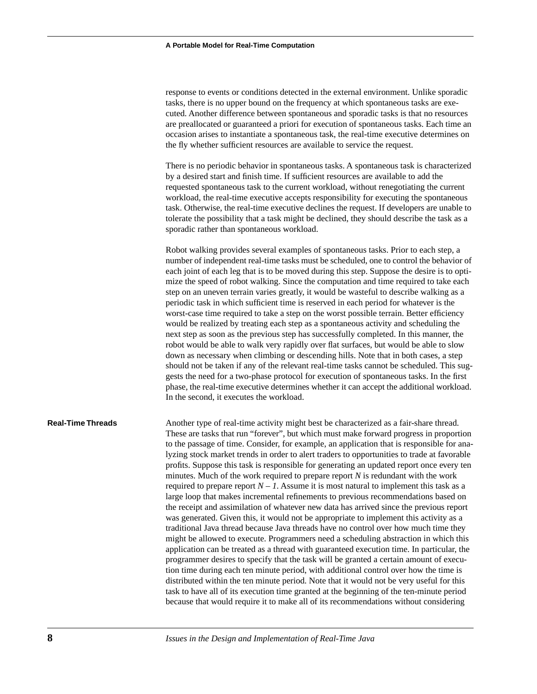response to events or conditions detected in the external environment. Unlike sporadic tasks, there is no upper bound on the frequency at which spontaneous tasks are executed. Another difference between spontaneous and sporadic tasks is that no resources are preallocated or guaranteed a priori for execution of spontaneous tasks. Each time an occasion arises to instantiate a spontaneous task, the real-time executive determines on the fly whether sufficient resources are available to service the request.

There is no periodic behavior in spontaneous tasks. A spontaneous task is characterized by a desired start and finish time. If sufficient resources are available to add the requested spontaneous task to the current workload, without renegotiating the current workload, the real-time executive accepts responsibility for executing the spontaneous task. Otherwise, the real-time executive declines the request. If developers are unable to tolerate the possibility that a task might be declined, they should describe the task as a sporadic rather than spontaneous workload.

Robot walking provides several examples of spontaneous tasks. Prior to each step, a number of independent real-time tasks must be scheduled, one to control the behavior of each joint of each leg that is to be moved during this step. Suppose the desire is to optimize the speed of robot walking. Since the computation and time required to take each step on an uneven terrain varies greatly, it would be wasteful to describe walking as a periodic task in which sufficient time is reserved in each period for whatever is the worst-case time required to take a step on the worst possible terrain. Better efficiency would be realized by treating each step as a spontaneous activity and scheduling the next step as soon as the previous step has successfully completed. In this manner, the robot would be able to walk very rapidly over flat surfaces, but would be able to slow down as necessary when climbing or descending hills. Note that in both cases, a step should not be taken if any of the relevant real-time tasks cannot be scheduled. This suggests the need for a two-phase protocol for execution of spontaneous tasks. In the first phase, the real-time executive determines whether it can accept the additional workload. In the second, it executes the workload.

**Real-Time Threads** Another type of real-time activity might best be characterized as a fair-share thread. These are tasks that run "forever", but which must make forward progress in proportion to the passage of time. Consider, for example, an application that is responsible for analyzing stock market trends in order to alert traders to opportunities to trade at favorable profits. Suppose this task is responsible for generating an updated report once every ten minutes. Much of the work required to prepare report *N* is redundant with the work required to prepare report  $N - 1$ . Assume it is most natural to implement this task as a large loop that makes incremental refinements to previous recommendations based on the receipt and assimilation of whatever new data has arrived since the previous report was generated. Given this, it would not be appropriate to implement this activity as a traditional Java thread because Java threads have no control over how much time they might be allowed to execute. Programmers need a scheduling abstraction in which this application can be treated as a thread with guaranteed execution time. In particular, the programmer desires to specify that the task will be granted a certain amount of execution time during each ten minute period, with additional control over how the time is distributed within the ten minute period. Note that it would not be very useful for this task to have all of its execution time granted at the beginning of the ten-minute period because that would require it to make all of its recommendations without considering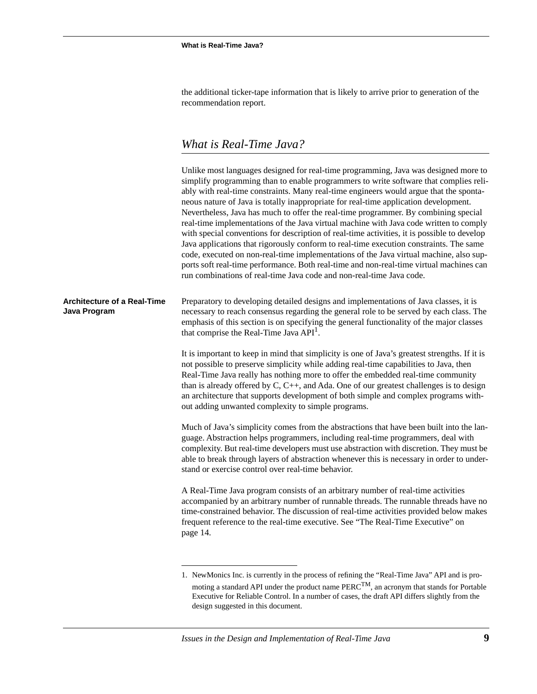the additional ticker-tape information that is likely to arrive prior to generation of the recommendation report.

# *What is Real-Time Java?*

|                                                    | Unlike most languages designed for real-time programming, Java was designed more to<br>simplify programming than to enable programmers to write software that complies reli-<br>ably with real-time constraints. Many real-time engineers would argue that the sponta-<br>neous nature of Java is totally inappropriate for real-time application development.<br>Nevertheless, Java has much to offer the real-time programmer. By combining special<br>real-time implementations of the Java virtual machine with Java code written to comply<br>with special conventions for description of real-time activities, it is possible to develop<br>Java applications that rigorously conform to real-time execution constraints. The same<br>code, executed on non-real-time implementations of the Java virtual machine, also sup-<br>ports soft real-time performance. Both real-time and non-real-time virtual machines can<br>run combinations of real-time Java code and non-real-time Java code. |
|----------------------------------------------------|-------------------------------------------------------------------------------------------------------------------------------------------------------------------------------------------------------------------------------------------------------------------------------------------------------------------------------------------------------------------------------------------------------------------------------------------------------------------------------------------------------------------------------------------------------------------------------------------------------------------------------------------------------------------------------------------------------------------------------------------------------------------------------------------------------------------------------------------------------------------------------------------------------------------------------------------------------------------------------------------------------|
| <b>Architecture of a Real-Time</b><br>Java Program | Preparatory to developing detailed designs and implementations of Java classes, it is<br>necessary to reach consensus regarding the general role to be served by each class. The<br>emphasis of this section is on specifying the general functionality of the major classes<br>that comprise the Real-Time Java API <sup>1</sup> .                                                                                                                                                                                                                                                                                                                                                                                                                                                                                                                                                                                                                                                                   |
|                                                    | It is important to keep in mind that simplicity is one of Java's greatest strengths. If it is<br>not possible to preserve simplicity while adding real-time capabilities to Java, then<br>Real-Time Java really has nothing more to offer the embedded real-time community<br>than is already offered by $C, C++,$ and Ada. One of our greatest challenges is to design<br>an architecture that supports development of both simple and complex programs with-<br>out adding unwanted complexity to simple programs.                                                                                                                                                                                                                                                                                                                                                                                                                                                                                  |
|                                                    | Much of Java's simplicity comes from the abstractions that have been built into the lan-<br>guage. Abstraction helps programmers, including real-time programmers, deal with<br>complexity. But real-time developers must use abstraction with discretion. They must be<br>able to break through layers of abstraction whenever this is necessary in order to under-<br>stand or exercise control over real-time behavior.                                                                                                                                                                                                                                                                                                                                                                                                                                                                                                                                                                            |
|                                                    | A Real-Time Java program consists of an arbitrary number of real-time activities<br>accompanied by an arbitrary number of runnable threads. The runnable threads have no<br>time-constrained behavior. The discussion of real-time activities provided below makes<br>frequent reference to the real-time executive. See "The Real-Time Executive" on<br>page 14.                                                                                                                                                                                                                                                                                                                                                                                                                                                                                                                                                                                                                                     |
|                                                    |                                                                                                                                                                                                                                                                                                                                                                                                                                                                                                                                                                                                                                                                                                                                                                                                                                                                                                                                                                                                       |

<sup>1.</sup> NewMonics Inc. is currently in the process of refining the "Real-Time Java" API and is promoting a standard API under the product name  $PERC^{TM}$ , an acronym that stands for Portable Executive for Reliable Control. In a number of cases, the draft API differs slightly from the design suggested in this document.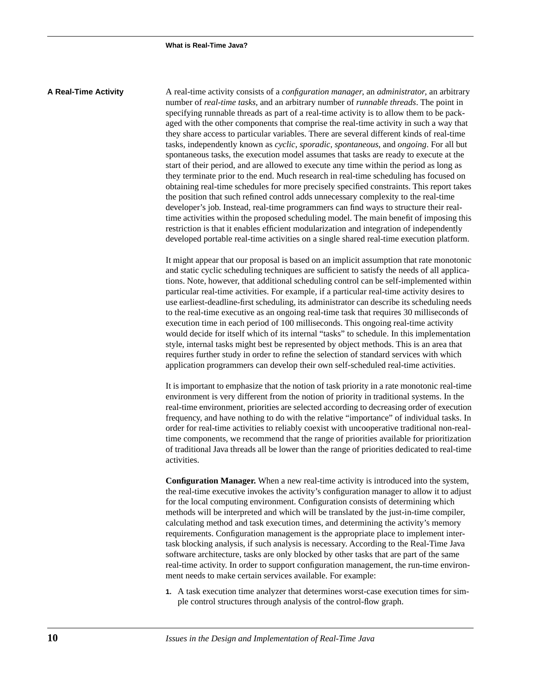**A Real-Time Activity** A real-time activity consists of a *configuration manager*, an *administrator*, an arbitrary number of *real-time tasks*, and an arbitrary number of *runnable threads*. The point in specifying runnable threads as part of a real-time activity is to allow them to be packaged with the other components that comprise the real-time activity in such a way that they share access to particular variables. There are several different kinds of real-time tasks, independently known as *cyclic*, *sporadic*, *spontaneous*, and *ongoing*. For all but spontaneous tasks, the execution model assumes that tasks are ready to execute at the start of their period, and are allowed to execute any time within the period as long as they terminate prior to the end. Much research in real-time scheduling has focused on obtaining real-time schedules for more precisely specified constraints. This report takes the position that such refined control adds unnecessary complexity to the real-time developer's job. Instead, real-time programmers can find ways to structure their realtime activities within the proposed scheduling model. The main benefit of imposing this restriction is that it enables efficient modularization and integration of independently developed portable real-time activities on a single shared real-time execution platform.

> It might appear that our proposal is based on an implicit assumption that rate monotonic and static cyclic scheduling techniques are sufficient to satisfy the needs of all applications. Note, however, that additional scheduling control can be self-implemented within particular real-time activities. For example, if a particular real-time activity desires to use earliest-deadline-first scheduling, its administrator can describe its scheduling needs to the real-time executive as an ongoing real-time task that requires 30 milliseconds of execution time in each period of 100 milliseconds. This ongoing real-time activity would decide for itself which of its internal "tasks" to schedule. In this implementation style, internal tasks might best be represented by object methods. This is an area that requires further study in order to refine the selection of standard services with which application programmers can develop their own self-scheduled real-time activities.

> It is important to emphasize that the notion of task priority in a rate monotonic real-time environment is very different from the notion of priority in traditional systems. In the real-time environment, priorities are selected according to decreasing order of execution frequency, and have nothing to do with the relative "importance" of individual tasks. In order for real-time activities to reliably coexist with uncooperative traditional non-realtime components, we recommend that the range of priorities available for prioritization of traditional Java threads all be lower than the range of priorities dedicated to real-time activities.

> **Configuration Manager.** When a new real-time activity is introduced into the system, the real-time executive invokes the activity's configuration manager to allow it to adjust for the local computing environment. Configuration consists of determining which methods will be interpreted and which will be translated by the just-in-time compiler, calculating method and task execution times, and determining the activity's memory requirements. Configuration management is the appropriate place to implement intertask blocking analysis, if such analysis is necessary. According to the Real-Time Java software architecture, tasks are only blocked by other tasks that are part of the same real-time activity. In order to support configuration management, the run-time environment needs to make certain services available. For example:

**1.** A task execution time analyzer that determines worst-case execution times for simple control structures through analysis of the control-flow graph.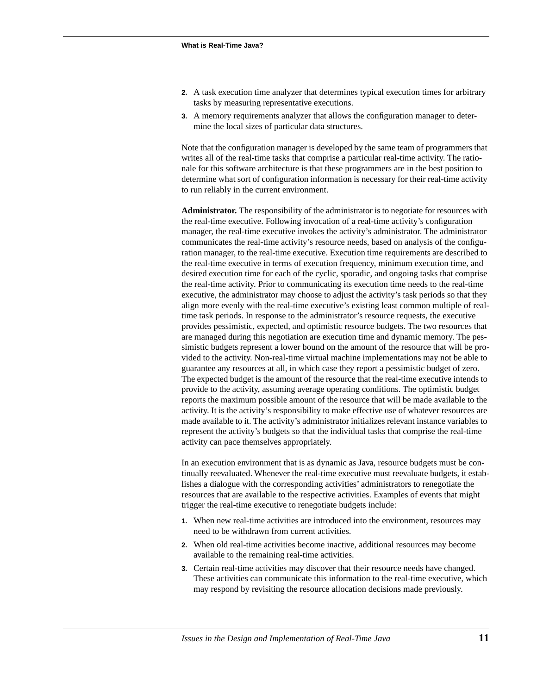- **2.** A task execution time analyzer that determines typical execution times for arbitrary tasks by measuring representative executions.
- **3.** A memory requirements analyzer that allows the configuration manager to determine the local sizes of particular data structures.

Note that the configuration manager is developed by the same team of programmers that writes all of the real-time tasks that comprise a particular real-time activity. The rationale for this software architecture is that these programmers are in the best position to determine what sort of configuration information is necessary for their real-time activity to run reliably in the current environment.

**Administrator.** The responsibility of the administrator is to negotiate for resources with the real-time executive. Following invocation of a real-time activity's configuration manager, the real-time executive invokes the activity's administrator. The administrator communicates the real-time activity's resource needs, based on analysis of the configuration manager, to the real-time executive. Execution time requirements are described to the real-time executive in terms of execution frequency, minimum execution time, and desired execution time for each of the cyclic, sporadic, and ongoing tasks that comprise the real-time activity. Prior to communicating its execution time needs to the real-time executive, the administrator may choose to adjust the activity's task periods so that they align more evenly with the real-time executive's existing least common multiple of realtime task periods. In response to the administrator's resource requests, the executive provides pessimistic, expected, and optimistic resource budgets. The two resources that are managed during this negotiation are execution time and dynamic memory. The pessimistic budgets represent a lower bound on the amount of the resource that will be provided to the activity. Non-real-time virtual machine implementations may not be able to guarantee any resources at all, in which case they report a pessimistic budget of zero. The expected budget is the amount of the resource that the real-time executive intends to provide to the activity, assuming average operating conditions. The optimistic budget reports the maximum possible amount of the resource that will be made available to the activity. It is the activity's responsibility to make effective use of whatever resources are made available to it. The activity's administrator initializes relevant instance variables to represent the activity's budgets so that the individual tasks that comprise the real-time activity can pace themselves appropriately.

In an execution environment that is as dynamic as Java, resource budgets must be continually reevaluated. Whenever the real-time executive must reevaluate budgets, it establishes a dialogue with the corresponding activities' administrators to renegotiate the resources that are available to the respective activities. Examples of events that might trigger the real-time executive to renegotiate budgets include:

- **1.** When new real-time activities are introduced into the environment, resources may need to be withdrawn from current activities.
- **2.** When old real-time activities become inactive, additional resources may become available to the remaining real-time activities.
- **3.** Certain real-time activities may discover that their resource needs have changed. These activities can communicate this information to the real-time executive, which may respond by revisiting the resource allocation decisions made previously.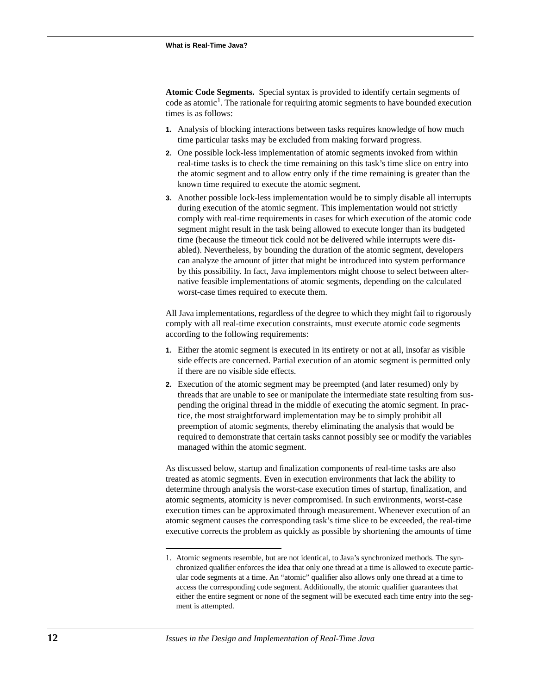**Atomic Code Segments.** Special syntax is provided to identify certain segments of code as atomic<sup>1</sup>. The rationale for requiring atomic segments to have bounded execution times is as follows:

- **1.** Analysis of blocking interactions between tasks requires knowledge of how much time particular tasks may be excluded from making forward progress.
- **2.** One possible lock-less implementation of atomic segments invoked from within real-time tasks is to check the time remaining on this task's time slice on entry into the atomic segment and to allow entry only if the time remaining is greater than the known time required to execute the atomic segment.
- **3.** Another possible lock-less implementation would be to simply disable all interrupts during execution of the atomic segment. This implementation would not strictly comply with real-time requirements in cases for which execution of the atomic code segment might result in the task being allowed to execute longer than its budgeted time (because the timeout tick could not be delivered while interrupts were disabled). Nevertheless, by bounding the duration of the atomic segment, developers can analyze the amount of jitter that might be introduced into system performance by this possibility. In fact, Java implementors might choose to select between alternative feasible implementations of atomic segments, depending on the calculated worst-case times required to execute them.

All Java implementations, regardless of the degree to which they might fail to rigorously comply with all real-time execution constraints, must execute atomic code segments according to the following requirements:

- **1.** Either the atomic segment is executed in its entirety or not at all, insofar as visible side effects are concerned. Partial execution of an atomic segment is permitted only if there are no visible side effects.
- **2.** Execution of the atomic segment may be preempted (and later resumed) only by threads that are unable to see or manipulate the intermediate state resulting from suspending the original thread in the middle of executing the atomic segment. In practice, the most straightforward implementation may be to simply prohibit all preemption of atomic segments, thereby eliminating the analysis that would be required to demonstrate that certain tasks cannot possibly see or modify the variables managed within the atomic segment.

As discussed below, startup and finalization components of real-time tasks are also treated as atomic segments. Even in execution environments that lack the ability to determine through analysis the worst-case execution times of startup, finalization, and atomic segments, atomicity is never compromised. In such environments, worst-case execution times can be approximated through measurement. Whenever execution of an atomic segment causes the corresponding task's time slice to be exceeded, the real-time executive corrects the problem as quickly as possible by shortening the amounts of time

<sup>1.</sup> Atomic segments resemble, but are not identical, to Java's synchronized methods. The synchronized qualifier enforces the idea that only one thread at a time is allowed to execute particular code segments at a time. An "atomic" qualifier also allows only one thread at a time to access the corresponding code segment. Additionally, the atomic qualifier guarantees that either the entire segment or none of the segment will be executed each time entry into the segment is attempted.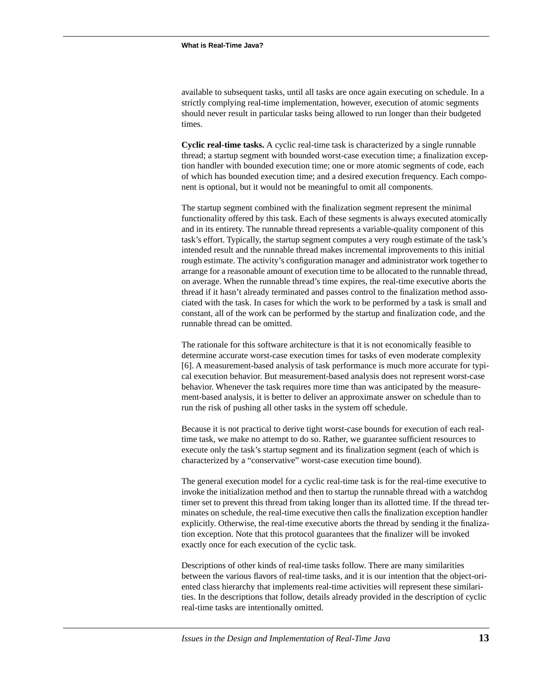available to subsequent tasks, until all tasks are once again executing on schedule. In a strictly complying real-time implementation, however, execution of atomic segments should never result in particular tasks being allowed to run longer than their budgeted times.

**Cyclic real-time tasks.** A cyclic real-time task is characterized by a single runnable thread; a startup segment with bounded worst-case execution time; a finalization exception handler with bounded execution time; one or more atomic segments of code, each of which has bounded execution time; and a desired execution frequency. Each component is optional, but it would not be meaningful to omit all components.

The startup segment combined with the finalization segment represent the minimal functionality offered by this task. Each of these segments is always executed atomically and in its entirety. The runnable thread represents a variable-quality component of this task's effort. Typically, the startup segment computes a very rough estimate of the task's intended result and the runnable thread makes incremental improvements to this initial rough estimate. The activity's configuration manager and administrator work together to arrange for a reasonable amount of execution time to be allocated to the runnable thread, on average. When the runnable thread's time expires, the real-time executive aborts the thread if it hasn't already terminated and passes control to the finalization method associated with the task. In cases for which the work to be performed by a task is small and constant, all of the work can be performed by the startup and finalization code, and the runnable thread can be omitted.

The rationale for this software architecture is that it is not economically feasible to determine accurate worst-case execution times for tasks of even moderate complexity [6]. A measurement-based analysis of task performance is much more accurate for typical execution behavior. But measurement-based analysis does not represent worst-case behavior. Whenever the task requires more time than was anticipated by the measurement-based analysis, it is better to deliver an approximate answer on schedule than to run the risk of pushing all other tasks in the system off schedule.

Because it is not practical to derive tight worst-case bounds for execution of each realtime task, we make no attempt to do so. Rather, we guarantee sufficient resources to execute only the task's startup segment and its finalization segment (each of which is characterized by a "conservative" worst-case execution time bound).

The general execution model for a cyclic real-time task is for the real-time executive to invoke the initialization method and then to startup the runnable thread with a watchdog timer set to prevent this thread from taking longer than its allotted time. If the thread terminates on schedule, the real-time executive then calls the finalization exception handler explicitly. Otherwise, the real-time executive aborts the thread by sending it the finalization exception. Note that this protocol guarantees that the finalizer will be invoked exactly once for each execution of the cyclic task.

Descriptions of other kinds of real-time tasks follow. There are many similarities between the various flavors of real-time tasks, and it is our intention that the object-oriented class hierarchy that implements real-time activities will represent these similarities. In the descriptions that follow, details already provided in the description of cyclic real-time tasks are intentionally omitted.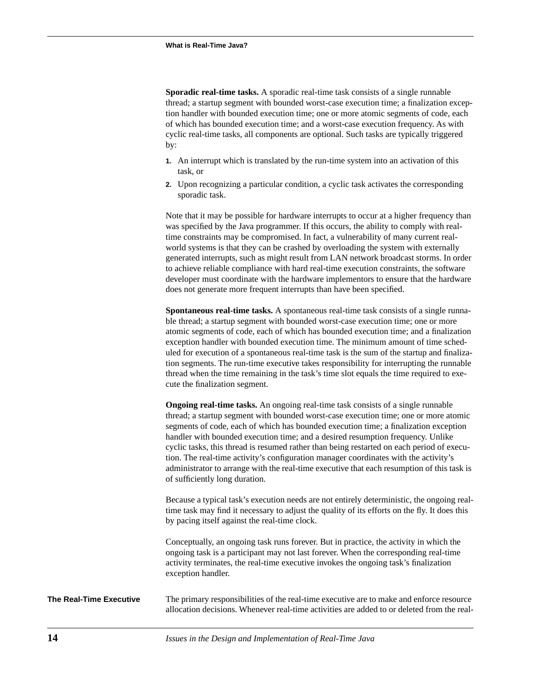**Sporadic real-time tasks.** A sporadic real-time task consists of a single runnable thread; a startup segment with bounded worst-case execution time; a finalization exception handler with bounded execution time; one or more atomic segments of code, each of which has bounded execution time; and a worst-case execution frequency. As with cyclic real-time tasks, all components are optional. Such tasks are typically triggered by:

- **1.** An interrupt which is translated by the run-time system into an activation of this task, or
- **2.** Upon recognizing a particular condition, a cyclic task activates the corresponding sporadic task.

Note that it may be possible for hardware interrupts to occur at a higher frequency than was specified by the Java programmer. If this occurs, the ability to comply with realtime constraints may be compromised. In fact, a vulnerability of many current realworld systems is that they can be crashed by overloading the system with externally generated interrupts, such as might result from LAN network broadcast storms. In order to achieve reliable compliance with hard real-time execution constraints, the software developer must coordinate with the hardware implementors to ensure that the hardware does not generate more frequent interrupts than have been specified.

**Spontaneous real-time tasks.** A spontaneous real-time task consists of a single runnable thread; a startup segment with bounded worst-case execution time; one or more atomic segments of code, each of which has bounded execution time; and a finalization exception handler with bounded execution time. The minimum amount of time scheduled for execution of a spontaneous real-time task is the sum of the startup and finalization segments. The run-time executive takes responsibility for interrupting the runnable thread when the time remaining in the task's time slot equals the time required to execute the finalization segment.

**Ongoing real-time tasks.** An ongoing real-time task consists of a single runnable thread; a startup segment with bounded worst-case execution time; one or more atomic segments of code, each of which has bounded execution time; a finalization exception handler with bounded execution time; and a desired resumption frequency. Unlike cyclic tasks, this thread is resumed rather than being restarted on each period of execution. The real-time activity's configuration manager coordinates with the activity's administrator to arrange with the real-time executive that each resumption of this task is of sufficiently long duration.

Because a typical task's execution needs are not entirely deterministic, the ongoing realtime task may find it necessary to adjust the quality of its efforts on the fly. It does this by pacing itself against the real-time clock.

Conceptually, an ongoing task runs forever. But in practice, the activity in which the ongoing task is a participant may not last forever. When the corresponding real-time activity terminates, the real-time executive invokes the ongoing task's finalization exception handler.

**The Real-Time Executive** The primary responsibilities of the real-time executive are to make and enforce resource allocation decisions. Whenever real-time activities are added to or deleted from the real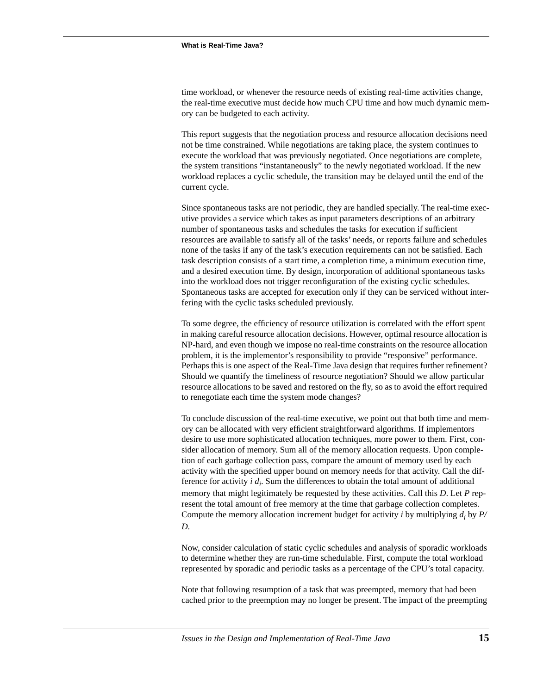time workload, or whenever the resource needs of existing real-time activities change, the real-time executive must decide how much CPU time and how much dynamic memory can be budgeted to each activity.

This report suggests that the negotiation process and resource allocation decisions need not be time constrained. While negotiations are taking place, the system continues to execute the workload that was previously negotiated. Once negotiations are complete, the system transitions "instantaneously" to the newly negotiated workload. If the new workload replaces a cyclic schedule, the transition may be delayed until the end of the current cycle.

Since spontaneous tasks are not periodic, they are handled specially. The real-time executive provides a service which takes as input parameters descriptions of an arbitrary number of spontaneous tasks and schedules the tasks for execution if sufficient resources are available to satisfy all of the tasks' needs, or reports failure and schedules none of the tasks if any of the task's execution requirements can not be satisfied. Each task description consists of a start time, a completion time, a minimum execution time, and a desired execution time. By design, incorporation of additional spontaneous tasks into the workload does not trigger reconfiguration of the existing cyclic schedules. Spontaneous tasks are accepted for execution only if they can be serviced without interfering with the cyclic tasks scheduled previously.

To some degree, the efficiency of resource utilization is correlated with the effort spent in making careful resource allocation decisions. However, optimal resource allocation is NP-hard, and even though we impose no real-time constraints on the resource allocation problem, it is the implementor's responsibility to provide "responsive" performance. Perhaps this is one aspect of the Real-Time Java design that requires further refinement? Should we quantify the timeliness of resource negotiation? Should we allow particular resource allocations to be saved and restored on the fly, so as to avoid the effort required to renegotiate each time the system mode changes?

To conclude discussion of the real-time executive, we point out that both time and memory can be allocated with very efficient straightforward algorithms. If implementors desire to use more sophisticated allocation techniques, more power to them. First, consider allocation of memory. Sum all of the memory allocation requests. Upon completion of each garbage collection pass, compare the amount of memory used by each activity with the specified upper bound on memory needs for that activity. Call the difference for activity  $i d_i$ . Sum the differences to obtain the total amount of additional memory that might legitimately be requested by these activities. Call this *D*. Let *P* represent the total amount of free memory at the time that garbage collection completes. Compute the memory allocation increment budget for activity *i* by multiplying  $d_i$  by  $P$ / *D*.

Now, consider calculation of static cyclic schedules and analysis of sporadic workloads to determine whether they are run-time schedulable. First, compute the total workload represented by sporadic and periodic tasks as a percentage of the CPU's total capacity.

Note that following resumption of a task that was preempted, memory that had been cached prior to the preemption may no longer be present. The impact of the preempting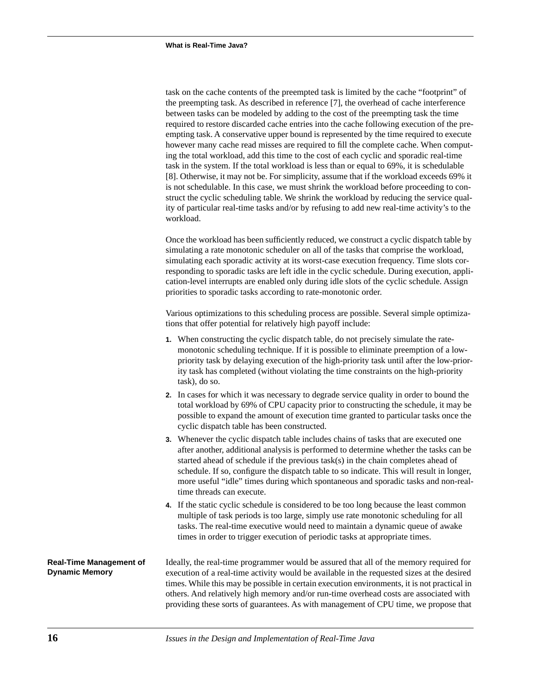task on the cache contents of the preempted task is limited by the cache "footprint" of the preempting task. As described in reference [7], the overhead of cache interference between tasks can be modeled by adding to the cost of the preempting task the time required to restore discarded cache entries into the cache following execution of the preempting task. A conservative upper bound is represented by the time required to execute however many cache read misses are required to fill the complete cache. When computing the total workload, add this time to the cost of each cyclic and sporadic real-time task in the system. If the total workload is less than or equal to 69%, it is schedulable [8]. Otherwise, it may not be. For simplicity, assume that if the workload exceeds 69% it is not schedulable. In this case, we must shrink the workload before proceeding to construct the cyclic scheduling table. We shrink the workload by reducing the service quality of particular real-time tasks and/or by refusing to add new real-time activity's to the workload.

Once the workload has been sufficiently reduced, we construct a cyclic dispatch table by simulating a rate monotonic scheduler on all of the tasks that comprise the workload, simulating each sporadic activity at its worst-case execution frequency. Time slots corresponding to sporadic tasks are left idle in the cyclic schedule. During execution, application-level interrupts are enabled only during idle slots of the cyclic schedule. Assign priorities to sporadic tasks according to rate-monotonic order.

Various optimizations to this scheduling process are possible. Several simple optimizations that offer potential for relatively high payoff include:

- **1.** When constructing the cyclic dispatch table, do not precisely simulate the ratemonotonic scheduling technique. If it is possible to eliminate preemption of a lowpriority task by delaying execution of the high-priority task until after the low-priority task has completed (without violating the time constraints on the high-priority task), do so.
- **2.** In cases for which it was necessary to degrade service quality in order to bound the total workload by 69% of CPU capacity prior to constructing the schedule, it may be possible to expand the amount of execution time granted to particular tasks once the cyclic dispatch table has been constructed.
- **3.** Whenever the cyclic dispatch table includes chains of tasks that are executed one after another, additional analysis is performed to determine whether the tasks can be started ahead of schedule if the previous task(s) in the chain completes ahead of schedule. If so, configure the dispatch table to so indicate. This will result in longer, more useful "idle" times during which spontaneous and sporadic tasks and non-realtime threads can execute.
- **4.** If the static cyclic schedule is considered to be too long because the least common multiple of task periods is too large, simply use rate monotonic scheduling for all tasks. The real-time executive would need to maintain a dynamic queue of awake times in order to trigger execution of periodic tasks at appropriate times.

**Real-Time Management of Dynamic Memory**  Ideally, the real-time programmer would be assured that all of the memory required for execution of a real-time activity would be available in the requested sizes at the desired times. While this may be possible in certain execution environments, it is not practical in others. And relatively high memory and/or run-time overhead costs are associated with providing these sorts of guarantees. As with management of CPU time, we propose that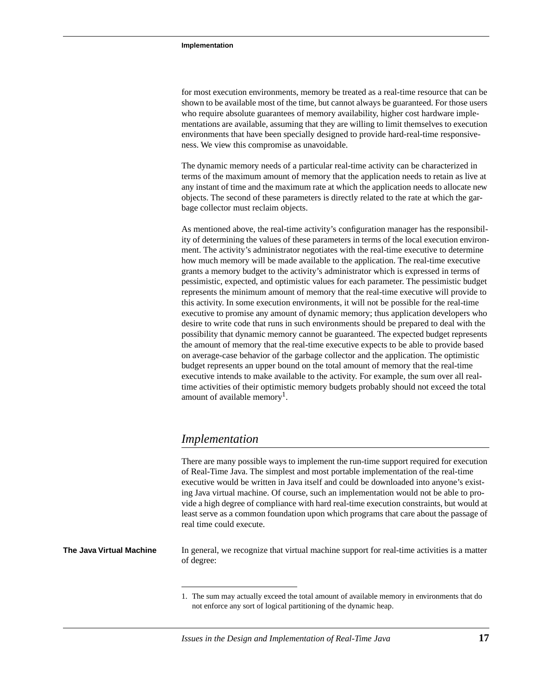for most execution environments, memory be treated as a real-time resource that can be shown to be available most of the time, but cannot always be guaranteed. For those users who require absolute guarantees of memory availability, higher cost hardware implementations are available, assuming that they are willing to limit themselves to execution environments that have been specially designed to provide hard-real-time responsiveness. We view this compromise as unavoidable.

The dynamic memory needs of a particular real-time activity can be characterized in terms of the maximum amount of memory that the application needs to retain as live at any instant of time and the maximum rate at which the application needs to allocate new objects. The second of these parameters is directly related to the rate at which the garbage collector must reclaim objects.

As mentioned above, the real-time activity's configuration manager has the responsibility of determining the values of these parameters in terms of the local execution environment. The activity's administrator negotiates with the real-time executive to determine how much memory will be made available to the application. The real-time executive grants a memory budget to the activity's administrator which is expressed in terms of pessimistic, expected, and optimistic values for each parameter. The pessimistic budget represents the minimum amount of memory that the real-time executive will provide to this activity. In some execution environments, it will not be possible for the real-time executive to promise any amount of dynamic memory; thus application developers who desire to write code that runs in such environments should be prepared to deal with the possibility that dynamic memory cannot be guaranteed. The expected budget represents the amount of memory that the real-time executive expects to be able to provide based on average-case behavior of the garbage collector and the application. The optimistic budget represents an upper bound on the total amount of memory that the real-time executive intends to make available to the activity. For example, the sum over all realtime activities of their optimistic memory budgets probably should not exceed the total amount of available memory<sup>1</sup>.

# *Implementation*

There are many possible ways to implement the run-time support required for execution of Real-Time Java. The simplest and most portable implementation of the real-time executive would be written in Java itself and could be downloaded into anyone's existing Java virtual machine. Of course, such an implementation would not be able to provide a high degree of compliance with hard real-time execution constraints, but would at least serve as a common foundation upon which programs that care about the passage of real time could execute.

**The Java Virtual Machine** In general, we recognize that virtual machine support for real-time activities is a matter of degree:

<sup>1.</sup> The sum may actually exceed the total amount of available memory in environments that do not enforce any sort of logical partitioning of the dynamic heap.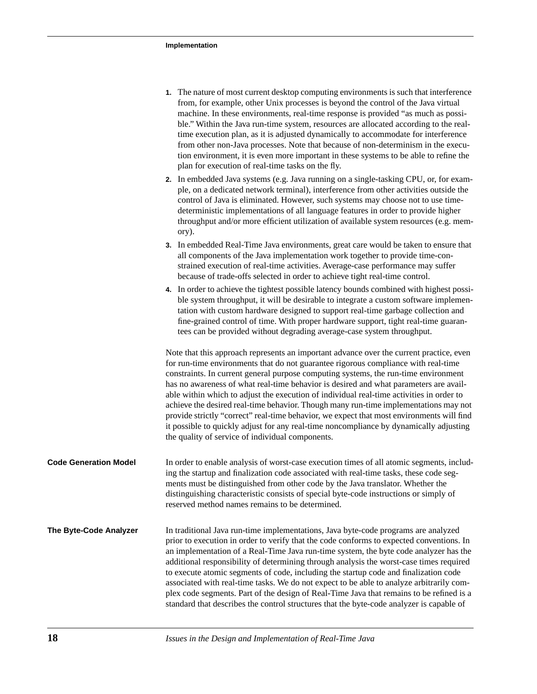|                              | 1. The nature of most current desktop computing environments is such that interference<br>from, for example, other Unix processes is beyond the control of the Java virtual<br>machine. In these environments, real-time response is provided "as much as possi-<br>ble." Within the Java run-time system, resources are allocated according to the real-<br>time execution plan, as it is adjusted dynamically to accommodate for interference<br>from other non-Java processes. Note that because of non-determinism in the execu-<br>tion environment, it is even more important in these systems to be able to refine the<br>plan for execution of real-time tasks on the fly.                                                                                                           |
|------------------------------|----------------------------------------------------------------------------------------------------------------------------------------------------------------------------------------------------------------------------------------------------------------------------------------------------------------------------------------------------------------------------------------------------------------------------------------------------------------------------------------------------------------------------------------------------------------------------------------------------------------------------------------------------------------------------------------------------------------------------------------------------------------------------------------------|
|                              | 2. In embedded Java systems (e.g. Java running on a single-tasking CPU, or, for exam-<br>ple, on a dedicated network terminal), interference from other activities outside the<br>control of Java is eliminated. However, such systems may choose not to use time-<br>deterministic implementations of all language features in order to provide higher<br>throughput and/or more efficient utilization of available system resources (e.g. mem-<br>ory).                                                                                                                                                                                                                                                                                                                                    |
|                              | 3. In embedded Real-Time Java environments, great care would be taken to ensure that<br>all components of the Java implementation work together to provide time-con-<br>strained execution of real-time activities. Average-case performance may suffer<br>because of trade-offs selected in order to achieve tight real-time control.                                                                                                                                                                                                                                                                                                                                                                                                                                                       |
|                              | 4. In order to achieve the tightest possible latency bounds combined with highest possi-<br>ble system throughput, it will be desirable to integrate a custom software implemen-<br>tation with custom hardware designed to support real-time garbage collection and<br>fine-grained control of time. With proper hardware support, tight real-time guaran-<br>tees can be provided without degrading average-case system throughput.                                                                                                                                                                                                                                                                                                                                                        |
|                              | Note that this approach represents an important advance over the current practice, even<br>for run-time environments that do not guarantee rigorous compliance with real-time<br>constraints. In current general purpose computing systems, the run-time environment<br>has no awareness of what real-time behavior is desired and what parameters are avail-<br>able within which to adjust the execution of individual real-time activities in order to<br>achieve the desired real-time behavior. Though many run-time implementations may not<br>provide strictly "correct" real-time behavior, we expect that most environments will find<br>it possible to quickly adjust for any real-time noncompliance by dynamically adjusting<br>the quality of service of individual components. |
| <b>Code Generation Model</b> | In order to enable analysis of worst-case execution times of all atomic segments, includ-<br>ing the startup and finalization code associated with real-time tasks, these code seg-<br>ments must be distinguished from other code by the Java translator. Whether the<br>distinguishing characteristic consists of special byte-code instructions or simply of<br>reserved method names remains to be determined.                                                                                                                                                                                                                                                                                                                                                                           |
| The Byte-Code Analyzer       | In traditional Java run-time implementations, Java byte-code programs are analyzed                                                                                                                                                                                                                                                                                                                                                                                                                                                                                                                                                                                                                                                                                                           |

**The Byte-Cod** prior to execution in order to verify that the code conforms to expected conventions. In an implementation of a Real-Time Java run-time system, the byte code analyzer has the additional responsibility of determining through analysis the worst-case times required to execute atomic segments of code, including the startup code and finalization code associated with real-time tasks. We do not expect to be able to analyze arbitrarily complex code segments. Part of the design of Real-Time Java that remains to be refined is a standard that describes the control structures that the byte-code analyzer is capable of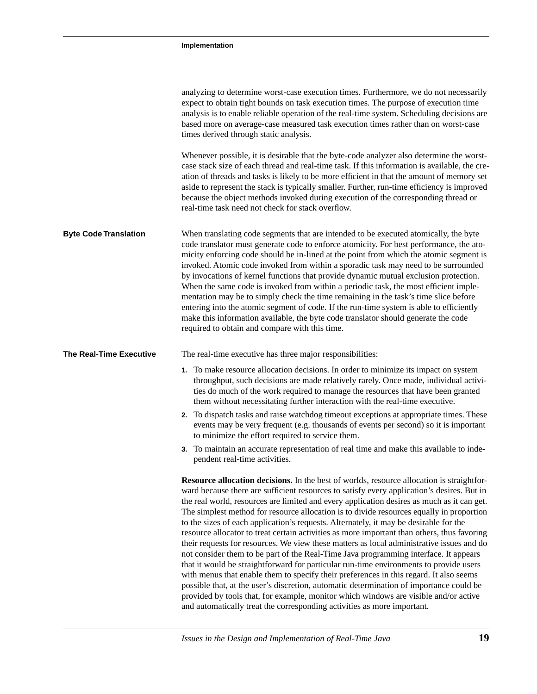|                              | analyzing to determine worst-case execution times. Furthermore, we do not necessarily<br>expect to obtain tight bounds on task execution times. The purpose of execution time<br>analysis is to enable reliable operation of the real-time system. Scheduling decisions are<br>based more on average-case measured task execution times rather than on worst-case<br>times derived through static analysis.<br>Whenever possible, it is desirable that the byte-code analyzer also determine the worst-<br>case stack size of each thread and real-time task. If this information is available, the cre-<br>ation of threads and tasks is likely to be more efficient in that the amount of memory set<br>aside to represent the stack is typically smaller. Further, run-time efficiency is improved                                                                                                                                                                                                                                                                                                                                                                                                                   |
|------------------------------|-------------------------------------------------------------------------------------------------------------------------------------------------------------------------------------------------------------------------------------------------------------------------------------------------------------------------------------------------------------------------------------------------------------------------------------------------------------------------------------------------------------------------------------------------------------------------------------------------------------------------------------------------------------------------------------------------------------------------------------------------------------------------------------------------------------------------------------------------------------------------------------------------------------------------------------------------------------------------------------------------------------------------------------------------------------------------------------------------------------------------------------------------------------------------------------------------------------------------|
|                              | because the object methods invoked during execution of the corresponding thread or<br>real-time task need not check for stack overflow.                                                                                                                                                                                                                                                                                                                                                                                                                                                                                                                                                                                                                                                                                                                                                                                                                                                                                                                                                                                                                                                                                 |
| <b>Byte Code Translation</b> | When translating code segments that are intended to be executed atomically, the byte<br>code translator must generate code to enforce atomicity. For best performance, the ato-<br>micity enforcing code should be in-lined at the point from which the atomic segment is<br>invoked. Atomic code invoked from within a sporadic task may need to be surrounded<br>by invocations of kernel functions that provide dynamic mutual exclusion protection.<br>When the same code is invoked from within a periodic task, the most efficient imple-<br>mentation may be to simply check the time remaining in the task's time slice before<br>entering into the atomic segment of code. If the run-time system is able to efficiently<br>make this information available, the byte code translator should generate the code<br>required to obtain and compare with this time.                                                                                                                                                                                                                                                                                                                                               |
| The Real-Time Executive      | The real-time executive has three major responsibilities:                                                                                                                                                                                                                                                                                                                                                                                                                                                                                                                                                                                                                                                                                                                                                                                                                                                                                                                                                                                                                                                                                                                                                               |
|                              | 1. To make resource allocation decisions. In order to minimize its impact on system<br>throughput, such decisions are made relatively rarely. Once made, individual activi-<br>ties do much of the work required to manage the resources that have been granted<br>them without necessitating further interaction with the real-time executive.                                                                                                                                                                                                                                                                                                                                                                                                                                                                                                                                                                                                                                                                                                                                                                                                                                                                         |
|                              | 2. To dispatch tasks and raise watchdog timeout exceptions at appropriate times. These<br>events may be very frequent (e.g. thousands of events per second) so it is important<br>to minimize the effort required to service them.                                                                                                                                                                                                                                                                                                                                                                                                                                                                                                                                                                                                                                                                                                                                                                                                                                                                                                                                                                                      |
|                              | 3. To maintain an accurate representation of real time and make this available to inde-<br>pendent real-time activities.                                                                                                                                                                                                                                                                                                                                                                                                                                                                                                                                                                                                                                                                                                                                                                                                                                                                                                                                                                                                                                                                                                |
|                              | <b>Resource allocation decisions.</b> In the best of worlds, resource allocation is straightfor-<br>ward because there are sufficient resources to satisfy every application's desires. But in<br>the real world, resources are limited and every application desires as much as it can get.<br>The simplest method for resource allocation is to divide resources equally in proportion<br>to the sizes of each application's requests. Alternately, it may be desirable for the<br>resource allocator to treat certain activities as more important than others, thus favoring<br>their requests for resources. We view these matters as local administrative issues and do<br>not consider them to be part of the Real-Time Java programming interface. It appears<br>that it would be straightforward for particular run-time environments to provide users<br>with menus that enable them to specify their preferences in this regard. It also seems<br>possible that, at the user's discretion, automatic determination of importance could be<br>provided by tools that, for example, monitor which windows are visible and/or active<br>and automatically treat the corresponding activities as more important. |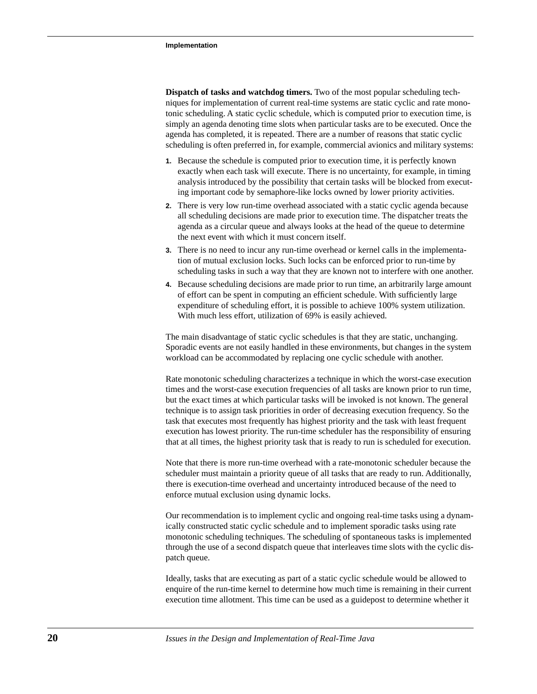**Dispatch of tasks and watchdog timers.** Two of the most popular scheduling techniques for implementation of current real-time systems are static cyclic and rate monotonic scheduling. A static cyclic schedule, which is computed prior to execution time, is simply an agenda denoting time slots when particular tasks are to be executed. Once the agenda has completed, it is repeated. There are a number of reasons that static cyclic scheduling is often preferred in, for example, commercial avionics and military systems:

- **1.** Because the schedule is computed prior to execution time, it is perfectly known exactly when each task will execute. There is no uncertainty, for example, in timing analysis introduced by the possibility that certain tasks will be blocked from executing important code by semaphore-like locks owned by lower priority activities.
- **2.** There is very low run-time overhead associated with a static cyclic agenda because all scheduling decisions are made prior to execution time. The dispatcher treats the agenda as a circular queue and always looks at the head of the queue to determine the next event with which it must concern itself.
- **3.** There is no need to incur any run-time overhead or kernel calls in the implementation of mutual exclusion locks. Such locks can be enforced prior to run-time by scheduling tasks in such a way that they are known not to interfere with one another.
- **4.** Because scheduling decisions are made prior to run time, an arbitrarily large amount of effort can be spent in computing an efficient schedule. With sufficiently large expenditure of scheduling effort, it is possible to achieve 100% system utilization. With much less effort, utilization of 69% is easily achieved.

The main disadvantage of static cyclic schedules is that they are static, unchanging. Sporadic events are not easily handled in these environments, but changes in the system workload can be accommodated by replacing one cyclic schedule with another.

Rate monotonic scheduling characterizes a technique in which the worst-case execution times and the worst-case execution frequencies of all tasks are known prior to run time, but the exact times at which particular tasks will be invoked is not known. The general technique is to assign task priorities in order of decreasing execution frequency. So the task that executes most frequently has highest priority and the task with least frequent execution has lowest priority. The run-time scheduler has the responsibility of ensuring that at all times, the highest priority task that is ready to run is scheduled for execution.

Note that there is more run-time overhead with a rate-monotonic scheduler because the scheduler must maintain a priority queue of all tasks that are ready to run. Additionally, there is execution-time overhead and uncertainty introduced because of the need to enforce mutual exclusion using dynamic locks.

Our recommendation is to implement cyclic and ongoing real-time tasks using a dynamically constructed static cyclic schedule and to implement sporadic tasks using rate monotonic scheduling techniques. The scheduling of spontaneous tasks is implemented through the use of a second dispatch queue that interleaves time slots with the cyclic dispatch queue.

Ideally, tasks that are executing as part of a static cyclic schedule would be allowed to enquire of the run-time kernel to determine how much time is remaining in their current execution time allotment. This time can be used as a guidepost to determine whether it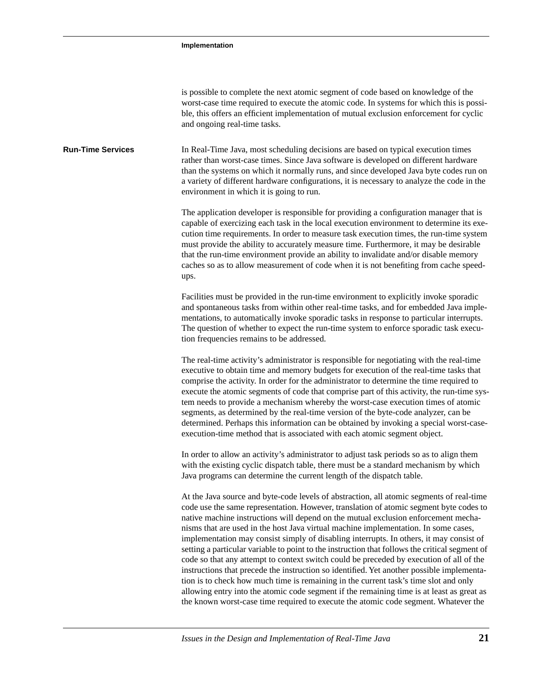is possible to complete the next atomic segment of code based on knowledge of the worst-case time required to execute the atomic code. In systems for which this is possible, this offers an efficient implementation of mutual exclusion enforcement for cyclic and ongoing real-time tasks.

**Run-Time Services** In Real-Time Java, most scheduling decisions are based on typical execution times rather than worst-case times. Since Java software is developed on different hardware than the systems on which it normally runs, and since developed Java byte codes run on a variety of different hardware configurations, it is necessary to analyze the code in the environment in which it is going to run.

> The application developer is responsible for providing a configuration manager that is capable of exercizing each task in the local execution environment to determine its execution time requirements. In order to measure task execution times, the run-time system must provide the ability to accurately measure time. Furthermore, it may be desirable that the run-time environment provide an ability to invalidate and/or disable memory caches so as to allow measurement of code when it is not benefiting from cache speedups.

> Facilities must be provided in the run-time environment to explicitly invoke sporadic and spontaneous tasks from within other real-time tasks, and for embedded Java implementations, to automatically invoke sporadic tasks in response to particular interrupts. The question of whether to expect the run-time system to enforce sporadic task execution frequencies remains to be addressed.

> The real-time activity's administrator is responsible for negotiating with the real-time executive to obtain time and memory budgets for execution of the real-time tasks that comprise the activity. In order for the administrator to determine the time required to execute the atomic segments of code that comprise part of this activity, the run-time system needs to provide a mechanism whereby the worst-case execution times of atomic segments, as determined by the real-time version of the byte-code analyzer, can be determined. Perhaps this information can be obtained by invoking a special worst-caseexecution-time method that is associated with each atomic segment object.

In order to allow an activity's administrator to adjust task periods so as to align them with the existing cyclic dispatch table, there must be a standard mechanism by which Java programs can determine the current length of the dispatch table.

At the Java source and byte-code levels of abstraction, all atomic segments of real-time code use the same representation. However, translation of atomic segment byte codes to native machine instructions will depend on the mutual exclusion enforcement mechanisms that are used in the host Java virtual machine implementation. In some cases, implementation may consist simply of disabling interrupts. In others, it may consist of setting a particular variable to point to the instruction that follows the critical segment of code so that any attempt to context switch could be preceded by execution of all of the instructions that precede the instruction so identified. Yet another possible implementation is to check how much time is remaining in the current task's time slot and only allowing entry into the atomic code segment if the remaining time is at least as great as the known worst-case time required to execute the atomic code segment. Whatever the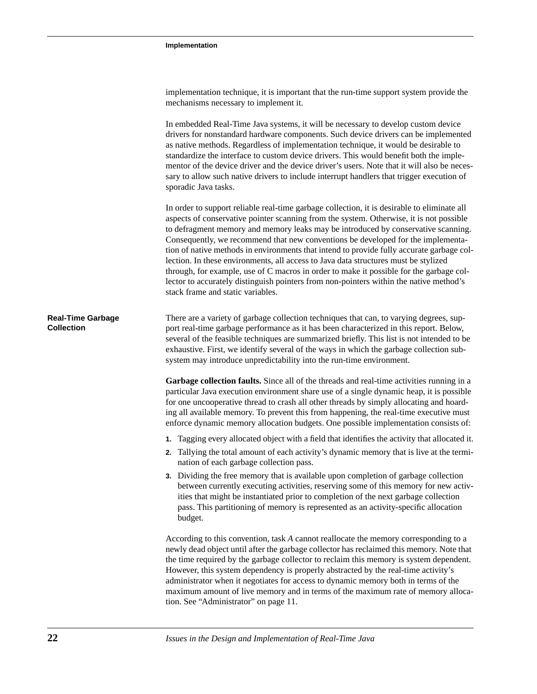| implementation technique, it is important that the run-time support system provide the |
|----------------------------------------------------------------------------------------|
| mechanisms necessary to implement it.                                                  |

In embedded Real-Time Java systems, it will be necessary to develop custom device drivers for nonstandard hardware components. Such device drivers can be implemented as native methods. Regardless of implementation technique, it would be desirable to standardize the interface to custom device drivers. This would benefit both the implementor of the device driver and the device driver's users. Note that it will also be necessary to allow such native drivers to include interrupt handlers that trigger execution of sporadic Java tasks.

In order to support reliable real-time garbage collection, it is desirable to eliminate all aspects of conservative pointer scanning from the system. Otherwise, it is not possible to defragment memory and memory leaks may be introduced by conservative scanning. Consequently, we recommend that new conventions be developed for the implementation of native methods in environments that intend to provide fully accurate garbage collection. In these environments, all access to Java data structures must be stylized through, for example, use of C macros in order to make it possible for the garbage collector to accurately distinguish pointers from non-pointers within the native method's stack frame and static variables.

| <b>Real-Time Garbage</b> | There are a variety of garbage collection techniques that can, to varying degrees, sup-    |
|--------------------------|--------------------------------------------------------------------------------------------|
| <b>Collection</b>        | port real-time garbage performance as it has been characterized in this report. Below,     |
|                          | several of the feasible techniques are summarized briefly. This list is not intended to be |
|                          | exhaustive. First, we identify several of the ways in which the garbage collection sub-    |
|                          | system may introduce unpredictability into the run-time environment.                       |

**Garbage collection faults.** Since all of the threads and real-time activities running in a particular Java execution environment share use of a single dynamic heap, it is possible for one uncooperative thread to crash all other threads by simply allocating and hoarding all available memory. To prevent this from happening, the real-time executive must enforce dynamic memory allocation budgets. One possible implementation consists of:

- **1.** Tagging every allocated object with a field that identifies the activity that allocated it.
- **2.** Tallying the total amount of each activity's dynamic memory that is live at the termination of each garbage collection pass.
- **3.** Dividing the free memory that is available upon completion of garbage collection between currently executing activities, reserving some of this memory for new activities that might be instantiated prior to completion of the next garbage collection pass. This partitioning of memory is represented as an activity-specific allocation budget.

According to this convention, task *A* cannot reallocate the memory corresponding to a newly dead object until after the garbage collector has reclaimed this memory. Note that the time required by the garbage collector to reclaim this memory is system dependent. However, this system dependency is properly abstracted by the real-time activity's administrator when it negotiates for access to dynamic memory both in terms of the maximum amount of live memory and in terms of the maximum rate of memory allocation. See "Administrator" on page 11.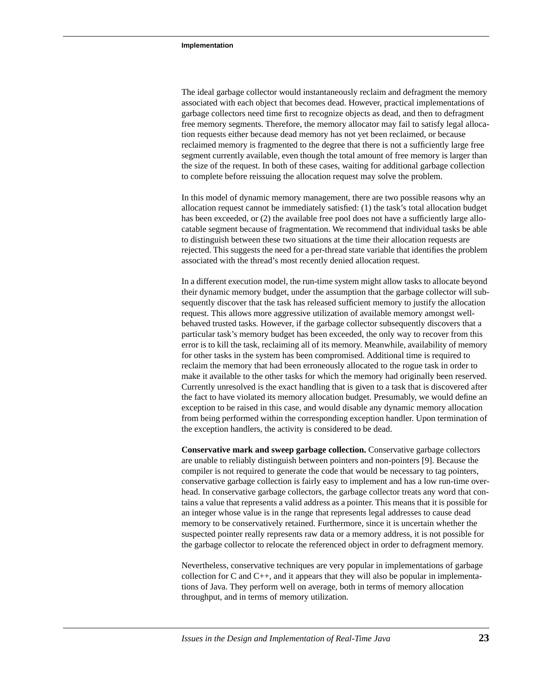The ideal garbage collector would instantaneously reclaim and defragment the memory associated with each object that becomes dead. However, practical implementations of garbage collectors need time first to recognize objects as dead, and then to defragment free memory segments. Therefore, the memory allocator may fail to satisfy legal allocation requests either because dead memory has not yet been reclaimed, or because reclaimed memory is fragmented to the degree that there is not a sufficiently large free segment currently available, even though the total amount of free memory is larger than the size of the request. In both of these cases, waiting for additional garbage collection to complete before reissuing the allocation request may solve the problem.

In this model of dynamic memory management, there are two possible reasons why an allocation request cannot be immediately satisfied: (1) the task's total allocation budget has been exceeded, or (2) the available free pool does not have a sufficiently large allocatable segment because of fragmentation. We recommend that individual tasks be able to distinguish between these two situations at the time their allocation requests are rejected. This suggests the need for a per-thread state variable that identifies the problem associated with the thread's most recently denied allocation request.

In a different execution model, the run-time system might allow tasks to allocate beyond their dynamic memory budget, under the assumption that the garbage collector will subsequently discover that the task has released sufficient memory to justify the allocation request. This allows more aggressive utilization of available memory amongst wellbehaved trusted tasks. However, if the garbage collector subsequently discovers that a particular task's memory budget has been exceeded, the only way to recover from this error is to kill the task, reclaiming all of its memory. Meanwhile, availability of memory for other tasks in the system has been compromised. Additional time is required to reclaim the memory that had been erroneously allocated to the rogue task in order to make it available to the other tasks for which the memory had originally been reserved. Currently unresolved is the exact handling that is given to a task that is discovered after the fact to have violated its memory allocation budget. Presumably, we would define an exception to be raised in this case, and would disable any dynamic memory allocation from being performed within the corresponding exception handler. Upon termination of the exception handlers, the activity is considered to be dead.

**Conservative mark and sweep garbage collection.** Conservative garbage collectors are unable to reliably distinguish between pointers and non-pointers [9]. Because the compiler is not required to generate the code that would be necessary to tag pointers, conservative garbage collection is fairly easy to implement and has a low run-time overhead. In conservative garbage collectors, the garbage collector treats any word that contains a value that represents a valid address as a pointer. This means that it is possible for an integer whose value is in the range that represents legal addresses to cause dead memory to be conservatively retained. Furthermore, since it is uncertain whether the suspected pointer really represents raw data or a memory address, it is not possible for the garbage collector to relocate the referenced object in order to defragment memory.

Nevertheless, conservative techniques are very popular in implementations of garbage collection for C and  $C_{++}$ , and it appears that they will also be popular in implementations of Java. They perform well on average, both in terms of memory allocation throughput, and in terms of memory utilization.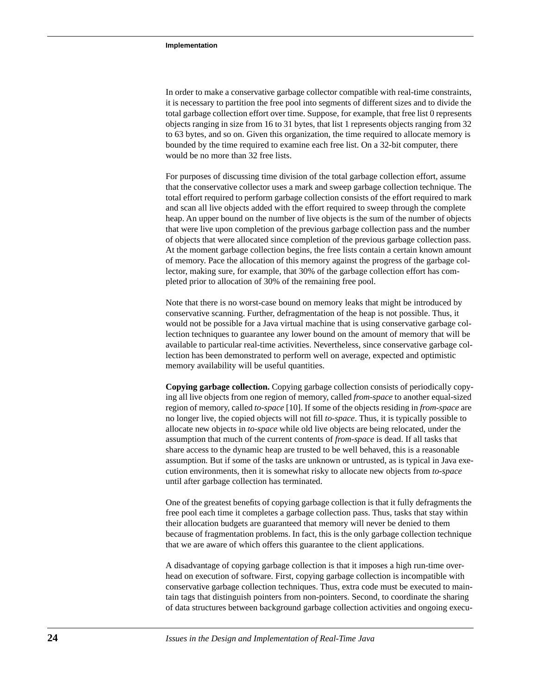In order to make a conservative garbage collector compatible with real-time constraints, it is necessary to partition the free pool into segments of different sizes and to divide the total garbage collection effort over time. Suppose, for example, that free list 0 represents objects ranging in size from 16 to 31 bytes, that list 1 represents objects ranging from 32 to 63 bytes, and so on. Given this organization, the time required to allocate memory is bounded by the time required to examine each free list. On a 32-bit computer, there would be no more than 32 free lists.

For purposes of discussing time division of the total garbage collection effort, assume that the conservative collector uses a mark and sweep garbage collection technique. The total effort required to perform garbage collection consists of the effort required to mark and scan all live objects added with the effort required to sweep through the complete heap. An upper bound on the number of live objects is the sum of the number of objects that were live upon completion of the previous garbage collection pass and the number of objects that were allocated since completion of the previous garbage collection pass. At the moment garbage collection begins, the free lists contain a certain known amount of memory. Pace the allocation of this memory against the progress of the garbage collector, making sure, for example, that 30% of the garbage collection effort has completed prior to allocation of 30% of the remaining free pool.

Note that there is no worst-case bound on memory leaks that might be introduced by conservative scanning. Further, defragmentation of the heap is not possible. Thus, it would not be possible for a Java virtual machine that is using conservative garbage collection techniques to guarantee any lower bound on the amount of memory that will be available to particular real-time activities. Nevertheless, since conservative garbage collection has been demonstrated to perform well on average, expected and optimistic memory availability will be useful quantities.

**Copying garbage collection.** Copying garbage collection consists of periodically copying all live objects from one region of memory, called *from-space* to another equal-sized region of memory, called *to-space* [10]. If some of the objects residing in *from-space* are no longer live, the copied objects will not fill *to-space*. Thus, it is typically possible to allocate new objects in *to-space* while old live objects are being relocated, under the assumption that much of the current contents of *from-space* is dead. If all tasks that share access to the dynamic heap are trusted to be well behaved, this is a reasonable assumption. But if some of the tasks are unknown or untrusted, as is typical in Java execution environments, then it is somewhat risky to allocate new objects from *to-space* until after garbage collection has terminated.

One of the greatest benefits of copying garbage collection is that it fully defragments the free pool each time it completes a garbage collection pass. Thus, tasks that stay within their allocation budgets are guaranteed that memory will never be denied to them because of fragmentation problems. In fact, this is the only garbage collection technique that we are aware of which offers this guarantee to the client applications.

A disadvantage of copying garbage collection is that it imposes a high run-time overhead on execution of software. First, copying garbage collection is incompatible with conservative garbage collection techniques. Thus, extra code must be executed to maintain tags that distinguish pointers from non-pointers. Second, to coordinate the sharing of data structures between background garbage collection activities and ongoing execu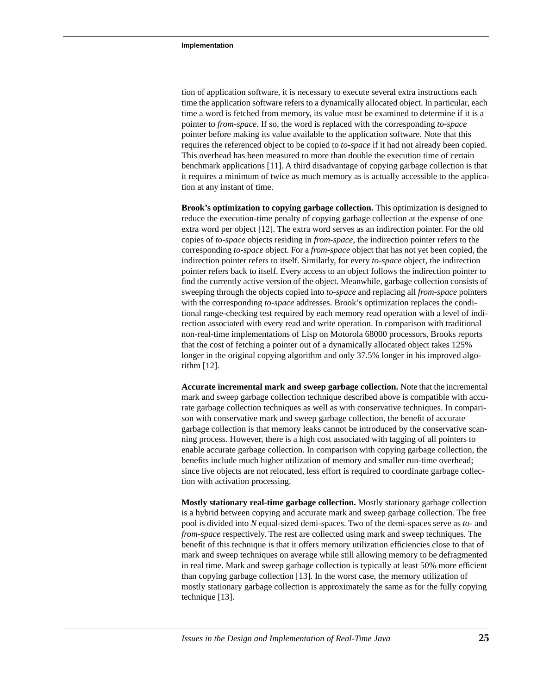tion of application software, it is necessary to execute several extra instructions each time the application software refers to a dynamically allocated object. In particular, each time a word is fetched from memory, its value must be examined to determine if it is a pointer to *from-space*. If so, the word is replaced with the corresponding *to-space* pointer before making its value available to the application software. Note that this requires the referenced object to be copied to *to-space* if it had not already been copied. This overhead has been measured to more than double the execution time of certain benchmark applications [11]. A third disadvantage of copying garbage collection is that it requires a minimum of twice as much memory as is actually accessible to the application at any instant of time.

**Brook's optimization to copying garbage collection.** This optimization is designed to reduce the execution-time penalty of copying garbage collection at the expense of one extra word per object [12]. The extra word serves as an indirection pointer. For the old copies of *to-space* objects residing in *from-space*, the indirection pointer refers to the corresponding *to-space* object. For a *from-space* object that has not yet been copied, the indirection pointer refers to itself. Similarly, for every *to-space* object, the indirection pointer refers back to itself. Every access to an object follows the indirection pointer to find the currently active version of the object. Meanwhile, garbage collection consists of sweeping through the objects copied into *to-space* and replacing all *from-space* pointers with the corresponding *to-space* addresses. Brook's optimization replaces the conditional range-checking test required by each memory read operation with a level of indirection associated with every read and write operation. In comparison with traditional non-real-time implementations of Lisp on Motorola 68000 processors, Brooks reports that the cost of fetching a pointer out of a dynamically allocated object takes 125% longer in the original copying algorithm and only 37.5% longer in his improved algorithm [12].

**Accurate incremental mark and sweep garbage collection.** Note that the incremental mark and sweep garbage collection technique described above is compatible with accurate garbage collection techniques as well as with conservative techniques. In comparison with conservative mark and sweep garbage collection, the benefit of accurate garbage collection is that memory leaks cannot be introduced by the conservative scanning process. However, there is a high cost associated with tagging of all pointers to enable accurate garbage collection. In comparison with copying garbage collection, the benefits include much higher utilization of memory and smaller run-time overhead; since live objects are not relocated, less effort is required to coordinate garbage collection with activation processing.

**Mostly stationary real-time garbage collection.** Mostly stationary garbage collection is a hybrid between copying and accurate mark and sweep garbage collection. The free pool is divided into *N* equal-sized demi-spaces. Two of the demi-spaces serve as *to-* and *from-space* respectively. The rest are collected using mark and sweep techniques. The benefit of this technique is that it offers memory utilization efficiencies close to that of mark and sweep techniques on average while still allowing memory to be defragmented in real time. Mark and sweep garbage collection is typically at least 50% more efficient than copying garbage collection [13]. In the worst case, the memory utilization of mostly stationary garbage collection is approximately the same as for the fully copying technique [13].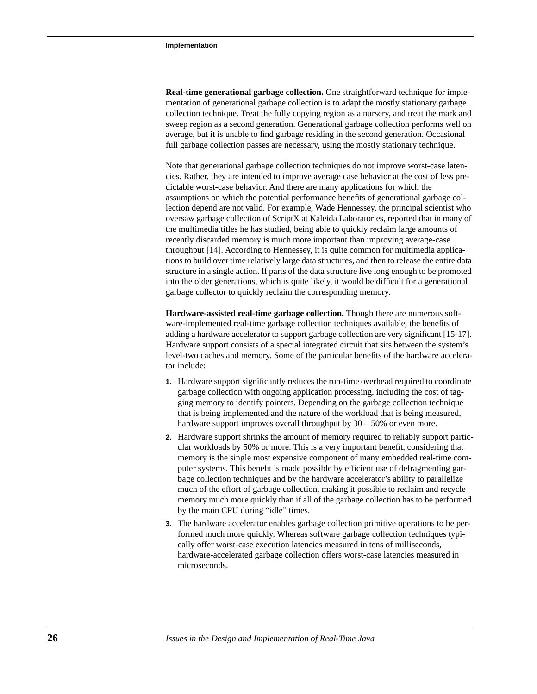**Real-time generational garbage collection.** One straightforward technique for implementation of generational garbage collection is to adapt the mostly stationary garbage collection technique. Treat the fully copying region as a nursery, and treat the mark and sweep region as a second generation. Generational garbage collection performs well on average, but it is unable to find garbage residing in the second generation. Occasional full garbage collection passes are necessary, using the mostly stationary technique.

Note that generational garbage collection techniques do not improve worst-case latencies. Rather, they are intended to improve average case behavior at the cost of less predictable worst-case behavior. And there are many applications for which the assumptions on which the potential performance benefits of generational garbage collection depend are not valid. For example, Wade Hennessey, the principal scientist who oversaw garbage collection of ScriptX at Kaleida Laboratories, reported that in many of the multimedia titles he has studied, being able to quickly reclaim large amounts of recently discarded memory is much more important than improving average-case throughput [14]. According to Hennessey, it is quite common for multimedia applications to build over time relatively large data structures, and then to release the entire data structure in a single action. If parts of the data structure live long enough to be promoted into the older generations, which is quite likely, it would be difficult for a generational garbage collector to quickly reclaim the corresponding memory.

**Hardware-assisted real-time garbage collection.** Though there are numerous software-implemented real-time garbage collection techniques available, the benefits of adding a hardware accelerator to support garbage collection are very significant [15-17]. Hardware support consists of a special integrated circuit that sits between the system's level-two caches and memory. Some of the particular benefits of the hardware accelerator include:

- **1.** Hardware support significantly reduces the run-time overhead required to coordinate garbage collection with ongoing application processing, including the cost of tagging memory to identify pointers. Depending on the garbage collection technique that is being implemented and the nature of the workload that is being measured, hardware support improves overall throughput by  $30 - 50%$  or even more.
- **2.** Hardware support shrinks the amount of memory required to reliably support particular workloads by 50% or more. This is a very important benefit, considering that memory is the single most expensive component of many embedded real-time computer systems. This benefit is made possible by efficient use of defragmenting garbage collection techniques and by the hardware accelerator's ability to parallelize much of the effort of garbage collection, making it possible to reclaim and recycle memory much more quickly than if all of the garbage collection has to be performed by the main CPU during "idle" times.
- **3.** The hardware accelerator enables garbage collection primitive operations to be performed much more quickly. Whereas software garbage collection techniques typically offer worst-case execution latencies measured in tens of milliseconds, hardware-accelerated garbage collection offers worst-case latencies measured in microseconds.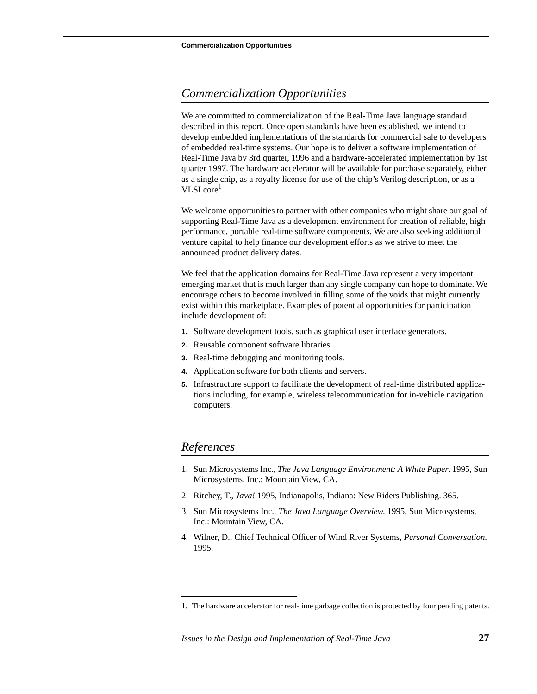# *Commercialization Opportunities*

We are committed to commercialization of the Real-Time Java language standard described in this report. Once open standards have been established, we intend to develop embedded implementations of the standards for commercial sale to developers of embedded real-time systems. Our hope is to deliver a software implementation of Real-Time Java by 3rd quarter, 1996 and a hardware-accelerated implementation by 1st quarter 1997. The hardware accelerator will be available for purchase separately, either as a single chip, as a royalty license for use of the chip's Verilog description, or as a VLSI core<sup>1</sup>.

We welcome opportunities to partner with other companies who might share our goal of supporting Real-Time Java as a development environment for creation of reliable, high performance, portable real-time software components. We are also seeking additional venture capital to help finance our development efforts as we strive to meet the announced product delivery dates.

We feel that the application domains for Real-Time Java represent a very important emerging market that is much larger than any single company can hope to dominate. We encourage others to become involved in filling some of the voids that might currently exist within this marketplace. Examples of potential opportunities for participation include development of:

- **1.** Software development tools, such as graphical user interface generators.
- **2.** Reusable component software libraries.
- **3.** Real-time debugging and monitoring tools.
- **4.** Application software for both clients and servers.
- **5.** Infrastructure support to facilitate the development of real-time distributed applications including, for example, wireless telecommunication for in-vehicle navigation computers.

# *References*

- 1. Sun Microsystems Inc., *The Java Language Environment: A White Paper*. 1995, Sun Microsystems, Inc.: Mountain View, CA.
- 2. Ritchey, T., *Java!* 1995, Indianapolis, Indiana: New Riders Publishing. 365.
- 3. Sun Microsystems Inc., *The Java Language Overview*. 1995, Sun Microsystems, Inc.: Mountain View, CA.
- 4. Wilner, D., Chief Technical Officer of Wind River Systems, *Personal Conversation*. 1995.

<sup>1.</sup> The hardware accelerator for real-time garbage collection is protected by four pending patents.